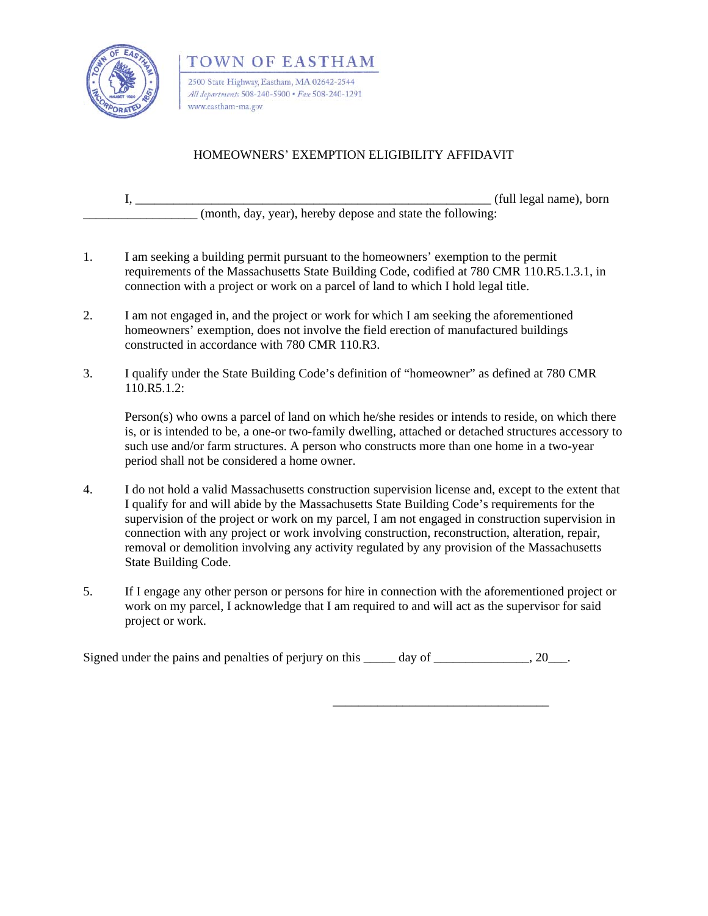

TOWN OF EASTHAM 2500 State Highway, Eastham, MA 02642-2544 All departments 508-240-5900 · Fax 508-240-1291 www.eastham-ma.gov

## HOMEOWNERS' EXEMPTION ELIGIBILITY AFFIDAVIT

| (full legal name), born                                    |
|------------------------------------------------------------|
| (month, day, year), hereby depose and state the following: |

- 1. I am seeking a building permit pursuant to the homeowners' exemption to the permit requirements of the Massachusetts State Building Code, codified at 780 CMR 110.R5.1.3.1, in connection with a project or work on a parcel of land to which I hold legal title.
- 2. I am not engaged in, and the project or work for which I am seeking the aforementioned homeowners' exemption, does not involve the field erection of manufactured buildings constructed in accordance with 780 CMR 110.R3.
- 3. I qualify under the State Building Code's definition of "homeowner" as defined at 780 CMR 110.R5.1.2:

Person(s) who owns a parcel of land on which he/she resides or intends to reside, on which there is, or is intended to be, a one-or two-family dwelling, attached or detached structures accessory to such use and/or farm structures. A person who constructs more than one home in a two-year period shall not be considered a home owner.

- 4. I do not hold a valid Massachusetts construction supervision license and, except to the extent that I qualify for and will abide by the Massachusetts State Building Code's requirements for the supervision of the project or work on my parcel, I am not engaged in construction supervision in connection with any project or work involving construction, reconstruction, alteration, repair, removal or demolition involving any activity regulated by any provision of the Massachusetts State Building Code.
- 5. If I engage any other person or persons for hire in connection with the aforementioned project or work on my parcel, I acknowledge that I am required to and will act as the supervisor for said project or work.

Signed under the pains and penalties of perjury on this  $\frac{1}{20}$  day of  $\frac{1}{20}$ .

 $\frac{1}{\sqrt{2\pi}}$  , which is a set of the set of the set of the set of the set of the set of the set of the set of the set of the set of the set of the set of the set of the set of the set of the set of the set of the set of